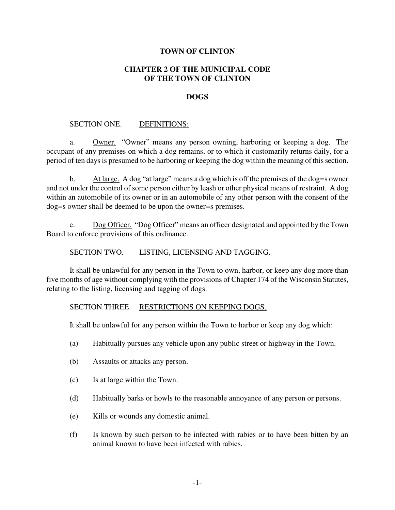## **TOWN OF CLINTON**

# **CHAPTER 2 OF THE MUNICIPAL CODE OF THE TOWN OF CLINTON**

### **DOGS**

## SECTION ONE. DEFINITIONS:

a. Owner. "Owner" means any person owning, harboring or keeping a dog. The occupant of any premises on which a dog remains, or to which it customarily returns daily, for a period of ten days is presumed to be harboring or keeping the dog within the meaning of this section.

b. At large. A dog "at large" means a dog which is off the premises of the dog=s owner and not under the control of some person either by leash or other physical means of restraint. A dog within an automobile of its owner or in an automobile of any other person with the consent of the dog=s owner shall be deemed to be upon the owner=s premises.

c. Dog Officer. "Dog Officer" means an officer designated and appointed by the Town Board to enforce provisions of this ordinance.

### SECTION TWO. LISTING, LICENSING AND TAGGING.

It shall be unlawful for any person in the Town to own, harbor, or keep any dog more than five months of age without complying with the provisions of Chapter 174 of the Wisconsin Statutes, relating to the listing, licensing and tagging of dogs.

#### SECTION THREE. RESTRICTIONS ON KEEPING DOGS.

It shall be unlawful for any person within the Town to harbor or keep any dog which:

- (a) Habitually pursues any vehicle upon any public street or highway in the Town.
- (b) Assaults or attacks any person.
- (c) Is at large within the Town.
- (d) Habitually barks or howls to the reasonable annoyance of any person or persons.
- (e) Kills or wounds any domestic animal.
- (f) Is known by such person to be infected with rabies or to have been bitten by an animal known to have been infected with rabies.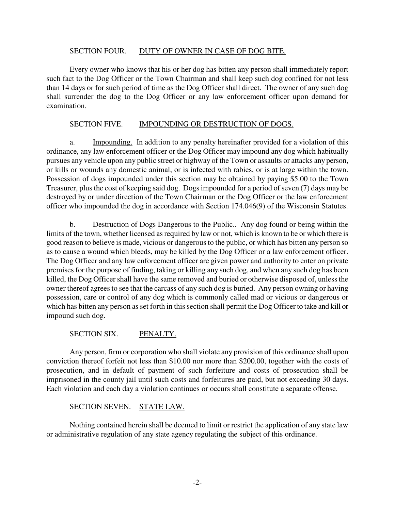## SECTION FOUR. DUTY OF OWNER IN CASE OF DOG BITE.

Every owner who knows that his or her dog has bitten any person shall immediately report such fact to the Dog Officer or the Town Chairman and shall keep such dog confined for not less than 14 days or for such period of time as the Dog Officer shall direct. The owner of any such dog shall surrender the dog to the Dog Officer or any law enforcement officer upon demand for examination.

# SECTION FIVE. **IMPOUNDING OR DESTRUCTION OF DOGS.**

a. Impounding. In addition to any penalty hereinafter provided for a violation of this ordinance, any law enforcement officer or the Dog Officer may impound any dog which habitually pursues any vehicle upon any public street or highway of the Town or assaults or attacks any person, or kills or wounds any domestic animal, or is infected with rabies, or is at large within the town. Possession of dogs impounded under this section may be obtained by paying \$5.00 to the Town Treasurer, plus the cost of keeping said dog. Dogs impounded for a period of seven (7) days may be destroyed by or under direction of the Town Chairman or the Dog Officer or the law enforcement officer who impounded the dog in accordance with Section 174.046(9) of the Wisconsin Statutes.

b. Destruction of Dogs Dangerous to the Public.. Any dog found or being within the limits of the town, whether licensed as required by law or not, which is known to be or which there is good reason to believe is made, vicious or dangerous to the public, or which has bitten any person so as to cause a wound which bleeds, may be killed by the Dog Officer or a law enforcement officer. The Dog Officer and any law enforcement officer are given power and authority to enter on private premises for the purpose of finding, taking or killing any such dog, and when any such dog has been killed, the Dog Officer shall have the same removed and buried or otherwise disposed of, unless the owner thereof agrees to see that the carcass of any such dog is buried. Any person owning or having possession, care or control of any dog which is commonly called mad or vicious or dangerous or which has bitten any person as set forth in this section shall permit the Dog Officer to take and kill or impound such dog.

SECTION SIX. PENALTY.

Any person, firm or corporation who shall violate any provision of this ordinance shall upon conviction thereof forfeit not less than \$10.00 nor more than \$200.00, together with the costs of prosecution, and in default of payment of such forfeiture and costs of prosecution shall be imprisoned in the county jail until such costs and forfeitures are paid, but not exceeding 30 days. Each violation and each day a violation continues or occurs shall constitute a separate offense.

# SECTION SEVEN. STATE LAW.

Nothing contained herein shall be deemed to limit or restrict the application of any state law or administrative regulation of any state agency regulating the subject of this ordinance.